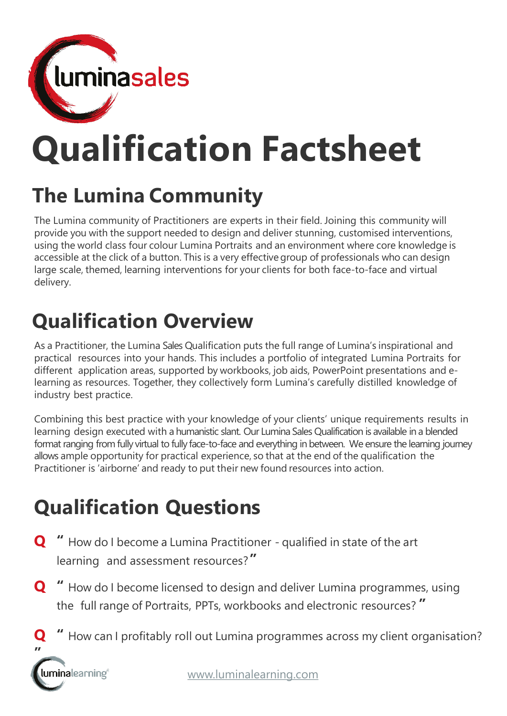

# **Qualification Factsheet**

## **The Lumina Community**

The Lumina community of Practitioners are experts in their field. Joining this community will provide you with the support needed to design and deliver stunning, customised interventions, using the world class four colour Lumina Portraits and an environment where core knowledge is accessible at the click of a button. This is a very effectivegroup of professionals who can design large scale, themed, learning interventions for your clients for both face-to-face and virtual delivery.

## **Qualification Overview**

As a Practitioner, the Lumina Sales Qualification puts the full range of Lumina's inspirational and practical resources into your hands. This includes a portfolio of integrated Lumina Portraits for different application areas, supported by workbooks, job aids, PowerPoint presentations and elearning as resources. Together, they collectively form Lumina's carefully distilled knowledge of industry best practice.

Combining this best practice with your knowledge of your clients' unique requirements results in learning design executed with a humanistic slant. Our Lumina Sales Qualification is available in a blended format ranging from fully virtual to fully face-to-face and everything in between. We ensure the learning journey allows ample opportunity for practical experience, so that at the end of the qualification the Practitioner is 'airborne' and ready to put their new found resources into action.

## **Qualification Questions**

- **Q "** How do I become a Lumina Practitioner qualified in state of the art learning and assessment resources?**"**
- **Q "** How do I become licensed to design and deliver Lumina programmes, using the full range of Portraits, PPTs, workbooks and electronic resources? **"**
- **Q "** How can I profitably roll out Lumina programmes across my client organisation?

**"**luminalearning®